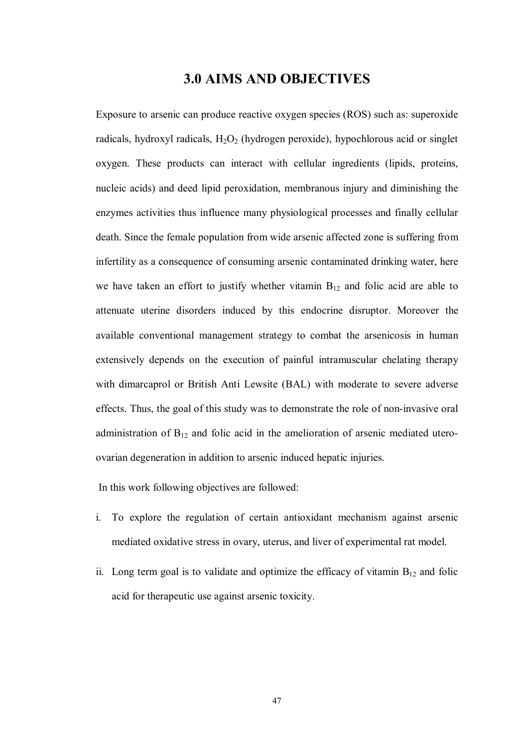## **3.0 AIMS AND OBJECTIVES**

Exposure to arsenic can produce reactive oxygen species (ROS) such as: superoxide radicals, hydroxyl radicals,  $H_2O_2$  (hydrogen peroxide), hypochlorous acid or singlet oxygen. These products can interact with cellular ingredients (lipids, proteins, nucleic acids) and deed lipid peroxidation, membranous injury and diminishing the enzymes activities thus influence many physiological processes and finally cellular death. Since the female population from wide arsenic affected zone is suffering from infertility as a consequence of consuming arsenic contaminated drinking water, here we have taken an effort to justify whether vitamin  $B_{12}$  and folic acid are able to attenuate uterine disorders induced by this endocrine disruptor. Moreover the available conventional management strategy to combat the arsenicosis in human extensively depends on the execution of painful intramuscular chelating therapy with dimarcaprol or British Anti Lewsite (BAL) with moderate to severe adverse effects. Thus, the goal of this study was to demonstrate the role of non-invasive oral administration of  $B_{12}$  and folic acid in the amelioration of arsenic mediated uteroovarian degeneration in addition to arsenic induced hepatic injuries.

In this work following objectives are followed:

- i. To explore the regulation of certain antioxidant mechanism against arsenic mediated oxidative stress in ovary, uterus, and liver of experimental rat model.
- ii. Long term goal is to validate and optimize the efficacy of vitamin  $B_{12}$  and folic acid for therapeutic use against arsenic toxicity.